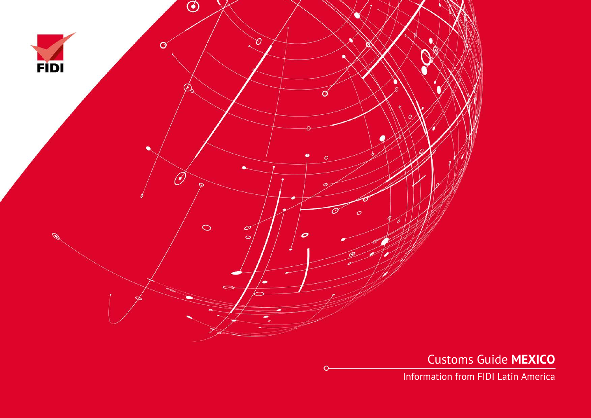

Customs Guide **MEXICO**

Information from FIDI Latin America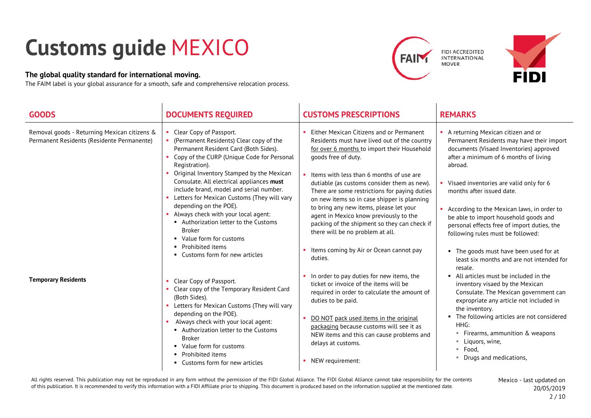## **Customs guide** MEXICO

## **The global quality standard for international moving.**

The FAIM label is your global assurance for a smooth, safe and comprehensive relocation process.

 $\mathbf{r}$ 







| <b>GOODS</b>                                                                               | <b>DOCUMENTS REQUIRED</b>                                                                                                                                                                                                                                                                                                                                                                                                                                                                                              | <b>CUSTOMS PRESCRIPTIONS</b>                                                                                                                                                                                                                                                                                                                                                                                                                                                                                                       | <b>REMARKS</b>                                                                                                                                                                                                                                                                                                                                                                                                                        |
|--------------------------------------------------------------------------------------------|------------------------------------------------------------------------------------------------------------------------------------------------------------------------------------------------------------------------------------------------------------------------------------------------------------------------------------------------------------------------------------------------------------------------------------------------------------------------------------------------------------------------|------------------------------------------------------------------------------------------------------------------------------------------------------------------------------------------------------------------------------------------------------------------------------------------------------------------------------------------------------------------------------------------------------------------------------------------------------------------------------------------------------------------------------------|---------------------------------------------------------------------------------------------------------------------------------------------------------------------------------------------------------------------------------------------------------------------------------------------------------------------------------------------------------------------------------------------------------------------------------------|
| Removal goods - Returning Mexican citizens &<br>Permanent Residents (Residente Permanente) | Clear Copy of Passport.<br>(Permanent Residents) Clear copy of the<br>Permanent Resident Card (Both Sides).<br>Copy of the CURP (Unique Code for Personal<br>Registration).<br>Original Inventory Stamped by the Mexican<br>Consulate. All electrical appliances must<br>include brand, model and serial number.<br>Letters for Mexican Customs (They will vary<br>depending on the POE).<br>Always check with your local agent:<br>• Authorization letter to the Customs<br><b>Broker</b><br>• Value form for customs | Either Mexican Citizens and or Permanent<br>Residents must have lived out of the country<br>for over 6 months to import their Household<br>goods free of duty.<br>Items with less than 6 months of use are<br>dutiable (as customs consider them as new).<br>There are some restrictions for paying duties<br>on new items so in case shipper is planning<br>to bring any new items, please let your<br>agent in Mexico know previously to the<br>packing of the shipment so they can check if<br>there will be no problem at all. | • A returning Mexican citizen and or<br>Permanent Residents may have their import<br>documents (Visaed Inventories) approved<br>after a minimum of 6 months of living<br>abroad.<br>Visaed inventories are valid only for 6<br>months after issued date.<br>• According to the Mexican laws, in order to<br>be able to import household goods and<br>personal effects free of import duties, the<br>following rules must be followed: |
|                                                                                            | • Prohibited items<br>• Customs form for new articles                                                                                                                                                                                                                                                                                                                                                                                                                                                                  | Items coming by Air or Ocean cannot pay<br>duties.                                                                                                                                                                                                                                                                                                                                                                                                                                                                                 | The goods must have been used for at<br>least six months and are not intended for<br>resale.                                                                                                                                                                                                                                                                                                                                          |
| <b>Temporary Residents</b>                                                                 | Clear Copy of Passport.<br><b>CO</b><br>Clear copy of the Temporary Resident Card<br>(Both Sides).<br>Letters for Mexican Customs (They will vary<br>depending on the POE).<br>Always check with your local agent:<br>• Authorization letter to the Customs<br><b>Broker</b><br>• Value form for customs<br>• Prohibited items<br>• Customs form for new articles                                                                                                                                                      | In order to pay duties for new items, the<br>ticket or invoice of the items will be<br>required in order to calculate the amount of<br>duties to be paid.<br>DO NOT pack used items in the original<br>packaging because customs will see it as<br>NEW items and this can cause problems and<br>delays at customs.<br>NEW requirement:                                                                                                                                                                                             | • All articles must be included in the<br>inventory visaed by the Mexican<br>Consulate. The Mexican government can<br>expropriate any article not included in<br>the inventory.<br>The following articles are not considered<br>HHG:<br>■ Firearms, ammunition & weapons<br>" Liquors, wine,<br>■ Food,<br>• Drugs and medications,                                                                                                   |

All rights reserved. This publication may not be reproduced in any form without the permission of the FIDI Global Alliance. The FIDI Global Alliance cannot take responsibility for the contents of this publication. It is recommended to verify this information with a FIDI Affiliate prior to shipping. This document is produced based on the information supplied at the mentioned date.

Mexico - last updated on 20/05/2019 2 / 10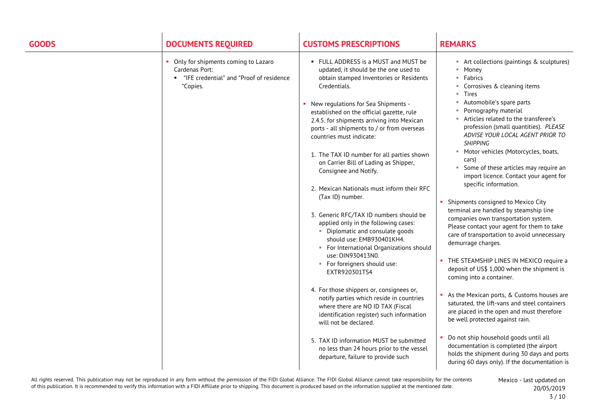| <b>GOODS</b> | <b>DOCUMENTS REQUIRED</b>                                                                                     | <b>CUSTOMS PRESCRIPTIONS</b>                                                                                                                                                                              | <b>REMARKS</b>                                                                                                                                                                                    |
|--------------|---------------------------------------------------------------------------------------------------------------|-----------------------------------------------------------------------------------------------------------------------------------------------------------------------------------------------------------|---------------------------------------------------------------------------------------------------------------------------------------------------------------------------------------------------|
|              | Only for shipments coming to Lazaro<br>Cardenas Port:<br>"IFE credential" and "Proof of residence<br>"Copies. | • FULL ADDRESS is a MUST and MUST be<br>updated, it should be the one used to<br>obtain stamped Inventories or Residents<br>Credentials.                                                                  | ■ Art collections (paintings & sculptures)<br>■ Money<br>$F$ Fabrics<br>■ Corrosives & cleaning items<br>$\blacksquare$ Tires                                                                     |
|              |                                                                                                               | New regulations for Sea Shipments -<br>established on the official gazette, rule<br>2.4.5. for shipments arriving into Mexican<br>ports - all shipments to / or from overseas<br>countries must indicate: | Automobile's spare parts<br>• Pornography material<br>Articles related to the transferee's<br>profession (small quantities). PLEASE<br>ADVISE YOUR LOCAL AGENT PRIOR TO<br><b>SHIPPING</b>        |
|              |                                                                                                               | 1. The TAX ID number for all parties shown<br>on Carrier Bill of Lading as Shipper,<br>Consignee and Notify.                                                                                              | Motor vehicles (Motorcycles, boats,<br>cars)<br>• Some of these articles may require an<br>import licence. Contact your agent for                                                                 |
|              |                                                                                                               | 2. Mexican Nationals must inform their RFC<br>(Tax ID) number.                                                                                                                                            | specific information.<br>Shipments consigned to Mexico City                                                                                                                                       |
|              |                                                                                                               | 3. Generic RFC/TAX ID numbers should be<br>applied only in the following cases:<br>Diplomatic and consulate goods<br>should use: EMB930401KH4.<br>For International Organizations should                  | terminal are handled by steamship line<br>companies own transportation system.<br>Please contact your agent for them to take<br>care of transportation to avoid unnecessary<br>demurrage charges. |
|              |                                                                                                               | use: OIN930413N0.<br>For foreigners should use:<br>EXTR920301TS4                                                                                                                                          | • THE STEAMSHIP LINES IN MEXICO require a<br>deposit of US\$ 1,000 when the shipment is<br>coming into a container.                                                                               |
|              |                                                                                                               | 4. For those shippers or, consignees or,<br>notify parties which reside in countries<br>where there are NO ID TAX (Fiscal<br>identification register) such information<br>will not be declared.           | As the Mexican ports, & Customs houses are<br>saturated, the lift-vans and steel containers<br>are placed in the open and must therefore<br>be well protected against rain.                       |
|              |                                                                                                               | 5. TAX ID information MUST be submitted<br>no less than 24 hours prior to the vessel<br>departure, failure to provide such                                                                                | Do not ship household goods until all<br>documentation is completed (the airport<br>holds the shipment during 30 days and ports<br>during 60 days only). If the documentation is                  |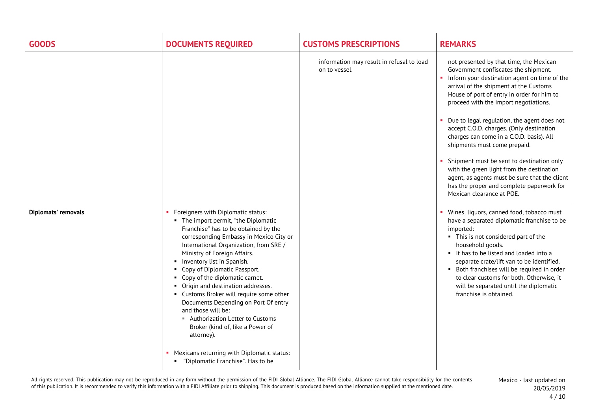| <b>GOODS</b>               | <b>DOCUMENTS REQUIRED</b>                                                                                                                                                                                                                                                                                                                                                                                                                                                                                                                                                                                                                                                | <b>CUSTOMS PRESCRIPTIONS</b>                               | <b>REMARKS</b>                                                                                                                                                                                                                                                                                                                                                                                                                                                                                                                                                                                                                                               |
|----------------------------|--------------------------------------------------------------------------------------------------------------------------------------------------------------------------------------------------------------------------------------------------------------------------------------------------------------------------------------------------------------------------------------------------------------------------------------------------------------------------------------------------------------------------------------------------------------------------------------------------------------------------------------------------------------------------|------------------------------------------------------------|--------------------------------------------------------------------------------------------------------------------------------------------------------------------------------------------------------------------------------------------------------------------------------------------------------------------------------------------------------------------------------------------------------------------------------------------------------------------------------------------------------------------------------------------------------------------------------------------------------------------------------------------------------------|
|                            |                                                                                                                                                                                                                                                                                                                                                                                                                                                                                                                                                                                                                                                                          | information may result in refusal to load<br>on to vessel. | not presented by that time, the Mexican<br>Government confiscates the shipment.<br>Inform your destination agent on time of the<br>arrival of the shipment at the Customs<br>House of port of entry in order for him to<br>proceed with the import negotiations.<br>Due to legal regulation, the agent does not<br>accept C.O.D. charges. (Only destination<br>charges can come in a C.O.D. basis). All<br>shipments must come prepaid.<br>Shipment must be sent to destination only<br>with the green light from the destination<br>agent, as agents must be sure that the client<br>has the proper and complete paperwork for<br>Mexican clearance at POE. |
| <b>Diplomats' removals</b> | Foreigners with Diplomatic status:<br>• The import permit, "the Diplomatic<br>Franchise" has to be obtained by the<br>corresponding Embassy in Mexico City or<br>International Organization, from SRE /<br>Ministry of Foreign Affairs.<br>• Inventory list in Spanish.<br>• Copy of Diplomatic Passport.<br>• Copy of the diplomatic carnet.<br>• Origin and destination addresses.<br>• Customs Broker will require some other<br>Documents Depending on Port Of entry<br>and those will be:<br>■ Authorization Letter to Customs<br>Broker (kind of, like a Power of<br>attorney).<br>Mexicans returning with Diplomatic status:<br>"Diplomatic Franchise". Has to be |                                                            | • Wines, liquors, canned food, tobacco must<br>have a separated diplomatic franchise to be<br>imported:<br>• This is not considered part of the<br>household goods.<br>It has to be listed and loaded into a<br>separate crate/lift van to be identified.<br>• Both franchises will be required in order<br>to clear customs for both. Otherwise, it<br>will be separated until the diplomatic<br>franchise is obtained.                                                                                                                                                                                                                                     |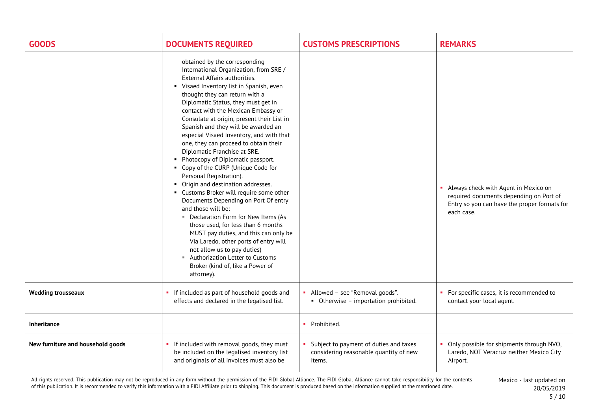| <b>GOODS</b>                      | <b>DOCUMENTS REQUIRED</b>                                                                                                                                                                                                                                                                                                                                                                                                                                                                                                                                                                                                                                                                                                                                                                                                                                                                                                                                                                                                  | <b>CUSTOMS PRESCRIPTIONS</b>                                                               | <b>REMARKS</b>                                                                                                                                  |
|-----------------------------------|----------------------------------------------------------------------------------------------------------------------------------------------------------------------------------------------------------------------------------------------------------------------------------------------------------------------------------------------------------------------------------------------------------------------------------------------------------------------------------------------------------------------------------------------------------------------------------------------------------------------------------------------------------------------------------------------------------------------------------------------------------------------------------------------------------------------------------------------------------------------------------------------------------------------------------------------------------------------------------------------------------------------------|--------------------------------------------------------------------------------------------|-------------------------------------------------------------------------------------------------------------------------------------------------|
|                                   | obtained by the corresponding<br>International Organization, from SRE /<br>External Affairs authorities.<br>• Visaed Inventory list in Spanish, even<br>thought they can return with a<br>Diplomatic Status, they must get in<br>contact with the Mexican Embassy or<br>Consulate at origin, present their List in<br>Spanish and they will be awarded an<br>especial Visaed Inventory, and with that<br>one, they can proceed to obtain their<br>Diplomatic Franchise at SRE.<br>• Photocopy of Diplomatic passport.<br>• Copy of the CURP (Unique Code for<br>Personal Registration).<br>• Origin and destination addresses.<br>• Customs Broker will require some other<br>Documents Depending on Port Of entry<br>and those will be:<br>Declaration Form for New Items (As<br>those used, for less than 6 months<br>MUST pay duties, and this can only be<br>Via Laredo, other ports of entry will<br>not allow us to pay duties)<br>Authorization Letter to Customs<br>Broker (kind of, like a Power of<br>attorney). |                                                                                            | • Always check with Agent in Mexico on<br>required documents depending on Port of<br>Entry so you can have the proper formats for<br>each case. |
| <b>Wedding trousseaux</b>         | If included as part of household goods and<br>effects and declared in the legalised list.                                                                                                                                                                                                                                                                                                                                                                                                                                                                                                                                                                                                                                                                                                                                                                                                                                                                                                                                  | • Allowed - see "Removal goods".<br>• Otherwise - importation prohibited.                  | • For specific cases, it is recommended to<br>contact your local agent.                                                                         |
| Inheritance                       |                                                                                                                                                                                                                                                                                                                                                                                                                                                                                                                                                                                                                                                                                                                                                                                                                                                                                                                                                                                                                            | • Prohibited.                                                                              |                                                                                                                                                 |
| New furniture and household goods | If included with removal goods, they must<br>be included on the legalised inventory list<br>and originals of all invoices must also be                                                                                                                                                                                                                                                                                                                                                                                                                                                                                                                                                                                                                                                                                                                                                                                                                                                                                     | Subject to payment of duties and taxes<br>considering reasonable quantity of new<br>items. | • Only possible for shipments through NVO,<br>Laredo, NOT Veracruz neither Mexico City<br>Airport.                                              |

All rights reserved. This publication may not be reproduced in any form without the permission of the FIDI Global Alliance. The FIDI Global Alliance cannot take responsibility for the contents of this publication. It is recommended to verify this information with a FIDI Affiliate prior to shipping. This document is produced based on the information supplied at the mentioned date.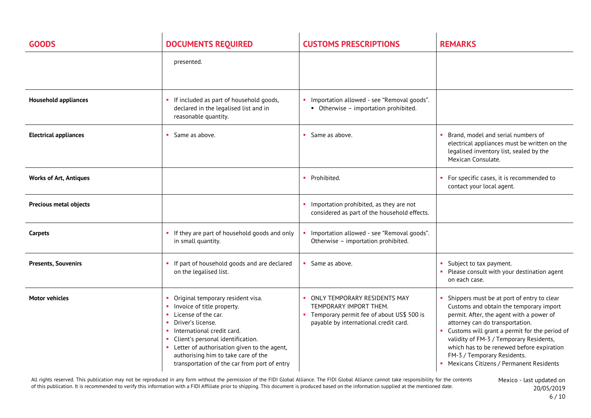| <b>GOODS</b>                  | <b>DOCUMENTS REQUIRED</b>                                                                                                                                                                                                                                                                                                                      | <b>CUSTOMS PRESCRIPTIONS</b>                                                                                                                 | <b>REMARKS</b>                                                                                                                                                                                                                                                                                                                                                                              |
|-------------------------------|------------------------------------------------------------------------------------------------------------------------------------------------------------------------------------------------------------------------------------------------------------------------------------------------------------------------------------------------|----------------------------------------------------------------------------------------------------------------------------------------------|---------------------------------------------------------------------------------------------------------------------------------------------------------------------------------------------------------------------------------------------------------------------------------------------------------------------------------------------------------------------------------------------|
|                               | presented.                                                                                                                                                                                                                                                                                                                                     |                                                                                                                                              |                                                                                                                                                                                                                                                                                                                                                                                             |
| <b>Household appliances</b>   | • If included as part of household goods,<br>declared in the legalised list and in<br>reasonable quantity.                                                                                                                                                                                                                                     | Importation allowed - see "Removal goods".<br>• Otherwise - importation prohibited.                                                          |                                                                                                                                                                                                                                                                                                                                                                                             |
| <b>Electrical appliances</b>  | • Same as above.                                                                                                                                                                                                                                                                                                                               | Same as above.<br>$\mathbf{u}$ .                                                                                                             | Brand, model and serial numbers of<br>×.<br>electrical appliances must be written on the<br>legalised inventory list, sealed by the<br>Mexican Consulate.                                                                                                                                                                                                                                   |
| <b>Works of Art, Antiques</b> |                                                                                                                                                                                                                                                                                                                                                | Prohibited.<br>$\mathbf{u}$ .                                                                                                                | • For specific cases, it is recommended to<br>contact your local agent.                                                                                                                                                                                                                                                                                                                     |
| <b>Precious metal objects</b> |                                                                                                                                                                                                                                                                                                                                                | Importation prohibited, as they are not<br>considered as part of the household effects.                                                      |                                                                                                                                                                                                                                                                                                                                                                                             |
| <b>Carpets</b>                | • If they are part of household goods and only<br>in small quantity.                                                                                                                                                                                                                                                                           | Importation allowed - see "Removal goods".<br>Otherwise - importation prohibited.                                                            |                                                                                                                                                                                                                                                                                                                                                                                             |
| <b>Presents, Souvenirs</b>    | If part of household goods and are declared<br>on the legalised list.                                                                                                                                                                                                                                                                          | Same as above.                                                                                                                               | Subject to tax payment.<br>• Please consult with your destination agent<br>on each case.                                                                                                                                                                                                                                                                                                    |
| <b>Motor vehicles</b>         | Original temporary resident visa.<br>• Invoice of title property.<br>License of the car.<br>Driver's license.<br>International credit card.<br>$\mathbf{u}$ .<br>Client's personal identification.<br>m.<br>Letter of authorisation given to the agent,<br>authorising him to take care of the<br>transportation of the car from port of entry | ONLY TEMPORARY RESIDENTS MAY<br>TEMPORARY IMPORT THEM.<br>Temporary permit fee of about US\$ 500 is<br>payable by international credit card. | Shippers must be at port of entry to clear<br>Customs and obtain the temporary import<br>permit. After, the agent with a power of<br>attorney can do transportation.<br>• Customs will grant a permit for the period of<br>validity of FM-3 / Temporary Residents,<br>which has to be renewed before expiration<br>FM-3 / Temporary Residents.<br>• Mexicans Citizens / Permanent Residents |

All rights reserved. This publication may not be reproduced in any form without the permission of the FIDI Global Alliance. The FIDI Global Alliance cannot take responsibility for the contents of this publication. It is recommended to verify this information with a FIDI Affiliate prior to shipping. This document is produced based on the information supplied at the mentioned date.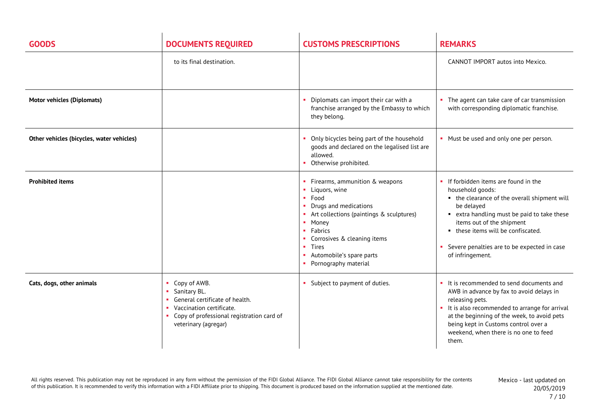| <b>GOODS</b>                              | <b>DOCUMENTS REQUIRED</b>                                                                                                                                       | <b>CUSTOMS PRESCRIPTIONS</b>                                                                                                                                                                                                                                   | <b>REMARKS</b>                                                                                                                                                                                                                                                                                               |
|-------------------------------------------|-----------------------------------------------------------------------------------------------------------------------------------------------------------------|----------------------------------------------------------------------------------------------------------------------------------------------------------------------------------------------------------------------------------------------------------------|--------------------------------------------------------------------------------------------------------------------------------------------------------------------------------------------------------------------------------------------------------------------------------------------------------------|
|                                           | to its final destination.                                                                                                                                       |                                                                                                                                                                                                                                                                | CANNOT IMPORT autos into Mexico.                                                                                                                                                                                                                                                                             |
| <b>Motor vehicles (Diplomats)</b>         |                                                                                                                                                                 | Diplomats can import their car with a<br>franchise arranged by the Embassy to which<br>they belong.                                                                                                                                                            | • The agent can take care of car transmission<br>with corresponding diplomatic franchise.                                                                                                                                                                                                                    |
| Other vehicles (bicycles, water vehicles) |                                                                                                                                                                 | Only bicycles being part of the household<br>goods and declared on the legalised list are<br>allowed.<br>Otherwise prohibited.                                                                                                                                 | • Must be used and only one per person.                                                                                                                                                                                                                                                                      |
| <b>Prohibited items</b>                   |                                                                                                                                                                 | • Firearms, ammunition & weapons<br>Liquors, wine<br>• Food<br>• Drugs and medications<br>• Art collections (paintings & sculptures)<br>• Money<br>Fabrics<br>Corrosives & cleaning items<br>Tires<br>m.<br>Automobile's spare parts<br>• Pornography material | • If forbidden items are found in the<br>household goods:<br>• the clearance of the overall shipment will<br>be delayed<br>• extra handling must be paid to take these<br>items out of the shipment<br>• these items will be confiscated.<br>Severe penalties are to be expected in case<br>of infringement. |
| Cats, dogs, other animals                 | Copy of AWB.<br>Sanitary BL.<br>General certificate of health.<br>Vaccination certificate.<br>Copy of professional registration card of<br>veterinary (agregar) | • Subject to payment of duties.                                                                                                                                                                                                                                | • It is recommended to send documents and<br>AWB in advance by fax to avoid delays in<br>releasing pets.<br>• It is also recommended to arrange for arrival<br>at the beginning of the week, to avoid pets<br>being kept in Customs control over a<br>weekend, when there is no one to feed<br>them.         |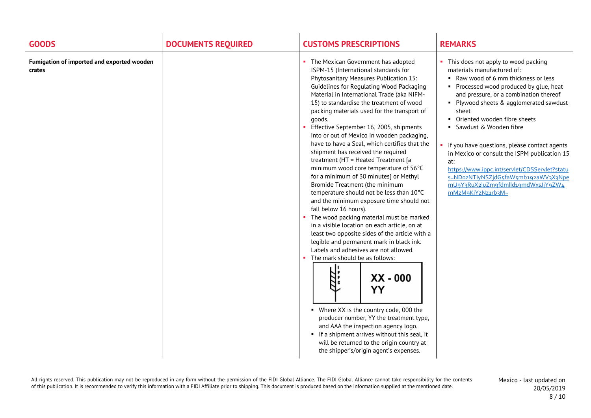| <b>GOODS</b>                                         | <b>DOCUMENTS REQUIRED</b> | <b>CUSTOMS PRESCRIPTIONS</b>                                                                                                                                                                                                                                                                                                                                                                                                                                                                                                                                                                                                                                                                                                                                                                                                                                                                                                                                                                                                                                                                                                                                                                                                                                                                                                                         | <b>REMARKS</b>                                                                                                                                                                                                                                                                                                                                                                                                                                                                                                                                                         |
|------------------------------------------------------|---------------------------|------------------------------------------------------------------------------------------------------------------------------------------------------------------------------------------------------------------------------------------------------------------------------------------------------------------------------------------------------------------------------------------------------------------------------------------------------------------------------------------------------------------------------------------------------------------------------------------------------------------------------------------------------------------------------------------------------------------------------------------------------------------------------------------------------------------------------------------------------------------------------------------------------------------------------------------------------------------------------------------------------------------------------------------------------------------------------------------------------------------------------------------------------------------------------------------------------------------------------------------------------------------------------------------------------------------------------------------------------|------------------------------------------------------------------------------------------------------------------------------------------------------------------------------------------------------------------------------------------------------------------------------------------------------------------------------------------------------------------------------------------------------------------------------------------------------------------------------------------------------------------------------------------------------------------------|
| Fumigation of imported and exported wooden<br>crates |                           | • The Mexican Government has adopted<br>ISPM-15 (International standards for<br>Phytosanitary Measures Publication 15:<br>Guidelines for Regulating Wood Packaging<br>Material in International Trade (aka NIFM-<br>15) to standardise the treatment of wood<br>packing materials used for the transport of<br>goods.<br>Effective September 16, 2005, shipments<br>into or out of Mexico in wooden packaging,<br>have to have a Seal, which certifies that the<br>shipment has received the required<br>treatment (HT = Heated Treatment [a<br>minimum wood core temperature of 56°C<br>for a minimum of 30 minutes] or Methyl<br>Bromide Treatment (the minimum<br>temperature should not be less than 10°C<br>and the minimum exposure time should not<br>fall below 16 hours).<br>• The wood packing material must be marked<br>in a visible location on each article, on at<br>least two opposite sides of the article with a<br>legible and permanent mark in black ink.<br>Labels and adhesives are not allowed.<br>• The mark should be as follows:<br>$XX - 000$<br>YY<br>• Where XX is the country code, 000 the<br>producer number, YY the treatment type,<br>and AAA the inspection agency logo.<br>• If a shipment arrives without this seal, it<br>will be returned to the origin country at<br>the shipper's/origin agent's expenses. | This does not apply to wood packing<br>materials manufactured of:<br>Raw wood of 6 mm thickness or less<br>• Processed wood produced by glue, heat<br>and pressure, or a combination thereof<br>• Plywood sheets & agglomerated sawdust<br>sheet<br>• Oriented wooden fibre sheets<br>Sawdust & Wooden fibre<br>If you have questions, please contact agents<br>in Mexico or consult the ISPM publication 15<br>at:<br>https://www.ippc.int/servlet/CDSServlet?statu<br>s=NDozNTlyNSZjdG5faW5mb192aWV3X3Npe<br>mUgY3RuX2luZmgfdmlld1gmdWxsJjYgZW4<br>mMzMgKiYzNz1rb3M~ |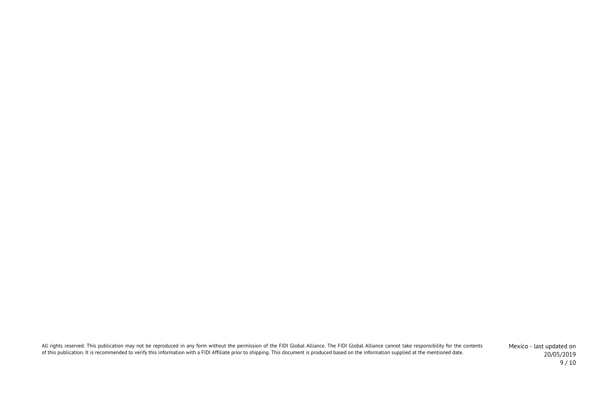All rights reserved. This publication may not be reproduced in any form without the permission of the FIDI Global Alliance. The FIDI Global Alliance cannot take responsibility for the contents of this publication. It is recommended to verify this information with a FIDI Affiliate prior to shipping. This document is produced based on the information supplied at the mentioned date.

Mexico - last updated on 20/05/2019  $9 / 10$